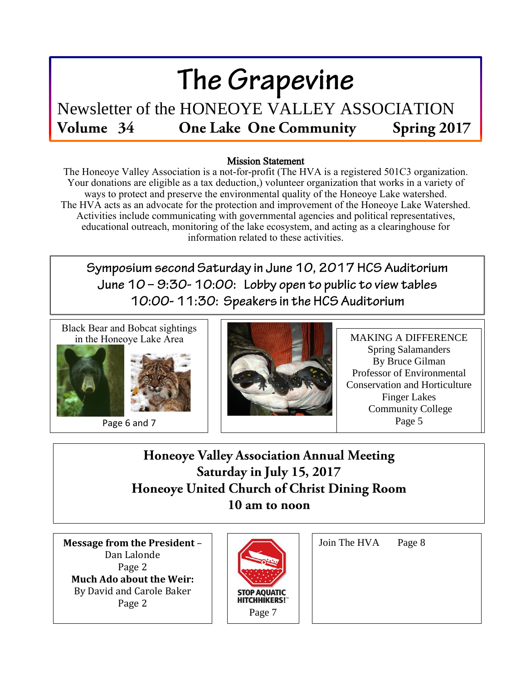# The Grapevine

Newsletter of the HONEOYE VALLEY ASSOCIATION Volume 34 **One Lake One Community** Spring 2017

#### Mission Statement

The Honeoye Valley Association is a not-for-profit (The HVA is a registered 501C3 organization. Your donations are eligible as a tax deduction,) volunteer organization that works in a variety of ways to protect and preserve the environmental quality of the Honeoye Lake watershed. The HVA acts as an advocate for the protection and improvement of the Honeoye Lake Watershed. Activities include communicating with governmental agencies and political representatives, educational outreach, monitoring of the lake ecosystem, and acting as a clearinghouse for information related to these activities.

Symposium second Saturday in June 10, 2017 HCS Auditorium June 10 - 9:30-10:00: Lobby open to public to view tables 10:00-11:30: Speakers in the HCS Auditorium

Black Bear and Bobcat sightings in the Honeoye Lake Area



Page 6 and 7



MAKING A DIFFERENCE Spring Salamanders By Bruce Gilman Professor of Environmental Conservation and Horticulture Finger Lakes Community College Page 5

**Honeoye Valley Association Annual Meeting** Saturday in July 15, 2017 Honeoye United Church of Christ Dining Room 10 am to noon

**Message from the President** – Dan Lalonde Page 2 **Much Ado about the Weir:** By David and Carole Baker Page 2



| Join The HVA | Page 8 |
|--------------|--------|
|              |        |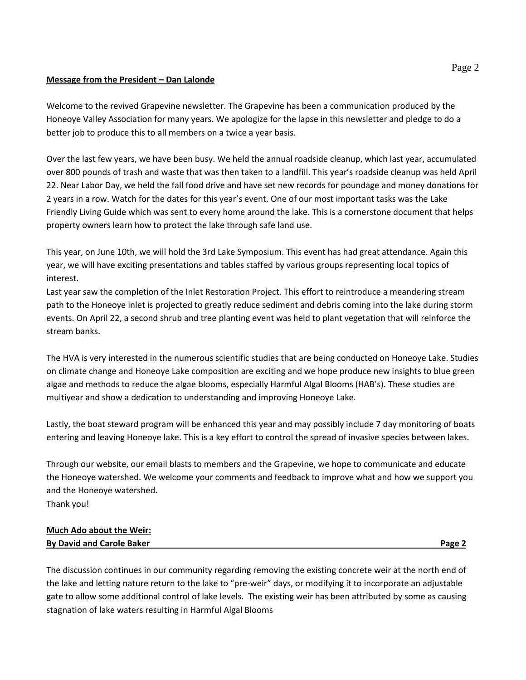#### **Message from the President – Dan Lalonde**

Welcome to the revived Grapevine newsletter. The Grapevine has been a communication produced by the Honeoye Valley Association for many years. We apologize for the lapse in this newsletter and pledge to do a better job to produce this to all members on a twice a year basis.

Over the last few years, we have been busy. We held the annual roadside cleanup, which last year, accumulated over 800 pounds of trash and waste that was then taken to a landfill. This year's roadside cleanup was held April 22. Near Labor Day, we held the fall food drive and have set new records for poundage and money donations for 2 years in a row. Watch for the dates for this year's event. One of our most important tasks was the Lake Friendly Living Guide which was sent to every home around the lake. This is a cornerstone document that helps property owners learn how to protect the lake through safe land use.

This year, on June 10th, we will hold the 3rd Lake Symposium. This event has had great attendance. Again this year, we will have exciting presentations and tables staffed by various groups representing local topics of interest.

Last year saw the completion of the Inlet Restoration Project. This effort to reintroduce a meandering stream path to the Honeoye inlet is projected to greatly reduce sediment and debris coming into the lake during storm events. On April 22, a second shrub and tree planting event was held to plant vegetation that will reinforce the stream banks.

The HVA is very interested in the numerous scientific studies that are being conducted on Honeoye Lake. Studies on climate change and Honeoye Lake composition are exciting and we hope produce new insights to blue green algae and methods to reduce the algae blooms, especially Harmful Algal Blooms (HAB's). These studies are multiyear and show a dedication to understanding and improving Honeoye Lake.

Lastly, the boat steward program will be enhanced this year and may possibly include 7 day monitoring of boats entering and leaving Honeoye lake. This is a key effort to control the spread of invasive species between lakes.

Through our website, our email blasts to members and the Grapevine, we hope to communicate and educate the Honeoye watershed. We welcome your comments and feedback to improve what and how we support you and the Honeoye watershed. Thank you!

**Much Ado about the Weir: By David and Carole Baker Page 2 Page 2** 

The discussion continues in our community regarding removing the existing concrete weir at the north end of the lake and letting nature return to the lake to "pre-weir" days, or modifying it to incorporate an adjustable gate to allow some additional control of lake levels. The existing weir has been attributed by some as causing stagnation of lake waters resulting in Harmful Algal Blooms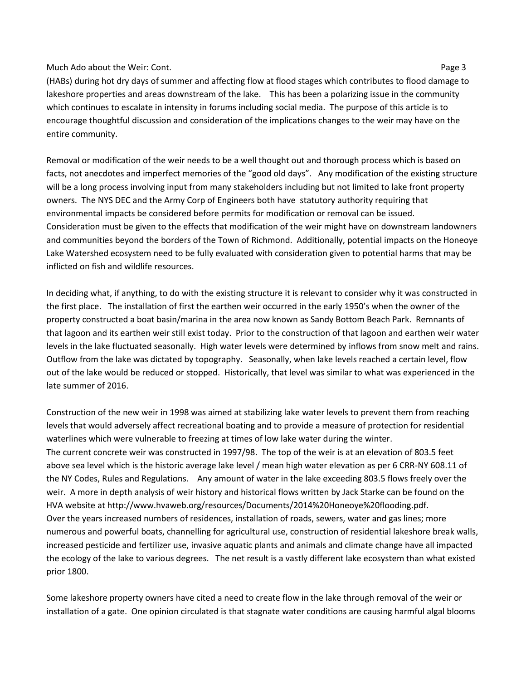#### Much Ado about the Weir: Cont. Page 3

(HABs) during hot dry days of summer and affecting flow at flood stages which contributes to flood damage to lakeshore properties and areas downstream of the lake. This has been a polarizing issue in the community which continues to escalate in intensity in forums including social media. The purpose of this article is to encourage thoughtful discussion and consideration of the implications changes to the weir may have on the entire community.

Removal or modification of the weir needs to be a well thought out and thorough process which is based on facts, not anecdotes and imperfect memories of the "good old days". Any modification of the existing structure will be a long process involving input from many stakeholders including but not limited to lake front property owners. The NYS DEC and the Army Corp of Engineers both have statutory authority requiring that environmental impacts be considered before permits for modification or removal can be issued. Consideration must be given to the effects that modification of the weir might have on downstream landowners and communities beyond the borders of the Town of Richmond. Additionally, potential impacts on the Honeoye Lake Watershed ecosystem need to be fully evaluated with consideration given to potential harms that may be inflicted on fish and wildlife resources.

In deciding what, if anything, to do with the existing structure it is relevant to consider why it was constructed in the first place. The installation of first the earthen weir occurred in the early 1950's when the owner of the property constructed a boat basin/marina in the area now known as Sandy Bottom Beach Park. Remnants of that lagoon and its earthen weir still exist today. Prior to the construction of that lagoon and earthen weir water levels in the lake fluctuated seasonally. High water levels were determined by inflows from snow melt and rains. Outflow from the lake was dictated by topography. Seasonally, when lake levels reached a certain level, flow out of the lake would be reduced or stopped. Historically, that level was similar to what was experienced in the late summer of 2016.

Construction of the new weir in 1998 was aimed at stabilizing lake water levels to prevent them from reaching levels that would adversely affect recreational boating and to provide a measure of protection for residential waterlines which were vulnerable to freezing at times of low lake water during the winter. The current concrete weir was constructed in 1997/98. The top of the weir is at an elevation of 803.5 feet above sea level which is the historic average lake level / mean high water elevation as per 6 CRR-NY 608.11 of the NY Codes, Rules and Regulations. Any amount of water in the lake exceeding 803.5 flows freely over the weir. A more in depth analysis of weir history and historical flows written by Jack Starke can be found on the HVA website at http://www.hvaweb.org/resources/Documents/2014%20Honeoye%20flooding.pdf. Over the years increased numbers of residences, installation of roads, sewers, water and gas lines; more numerous and powerful boats, channelling for agricultural use, construction of residential lakeshore break walls, increased pesticide and fertilizer use, invasive aquatic plants and animals and climate change have all impacted the ecology of the lake to various degrees. The net result is a vastly different lake ecosystem than what existed prior 1800.

Some lakeshore property owners have cited a need to create flow in the lake through removal of the weir or installation of a gate. One opinion circulated is that stagnate water conditions are causing harmful algal blooms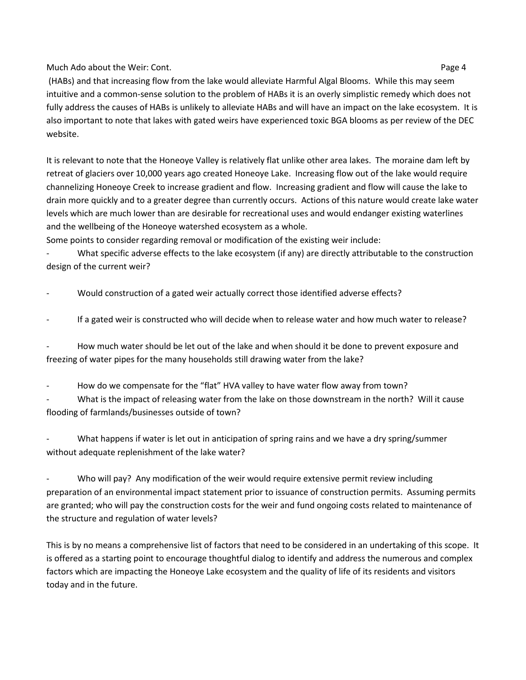Much Ado about the Weir: Cont. Page 4

(HABs) and that increasing flow from the lake would alleviate Harmful Algal Blooms. While this may seem intuitive and a common-sense solution to the problem of HABs it is an overly simplistic remedy which does not fully address the causes of HABs is unlikely to alleviate HABs and will have an impact on the lake ecosystem. It is also important to note that lakes with gated weirs have experienced toxic BGA blooms as per review of the DEC website.

It is relevant to note that the Honeoye Valley is relatively flat unlike other area lakes. The moraine dam left by retreat of glaciers over 10,000 years ago created Honeoye Lake. Increasing flow out of the lake would require channelizing Honeoye Creek to increase gradient and flow. Increasing gradient and flow will cause the lake to drain more quickly and to a greater degree than currently occurs. Actions of this nature would create lake water levels which are much lower than are desirable for recreational uses and would endanger existing waterlines and the wellbeing of the Honeoye watershed ecosystem as a whole.

Some points to consider regarding removal or modification of the existing weir include:

What specific adverse effects to the lake ecosystem (if any) are directly attributable to the construction design of the current weir?

Would construction of a gated weir actually correct those identified adverse effects?

If a gated weir is constructed who will decide when to release water and how much water to release?

How much water should be let out of the lake and when should it be done to prevent exposure and freezing of water pipes for the many households still drawing water from the lake?

How do we compensate for the "flat" HVA valley to have water flow away from town?

What is the impact of releasing water from the lake on those downstream in the north? Will it cause flooding of farmlands/businesses outside of town?

What happens if water is let out in anticipation of spring rains and we have a dry spring/summer without adequate replenishment of the lake water?

Who will pay? Any modification of the weir would require extensive permit review including preparation of an environmental impact statement prior to issuance of construction permits. Assuming permits are granted; who will pay the construction costs for the weir and fund ongoing costs related to maintenance of the structure and regulation of water levels?

This is by no means a comprehensive list of factors that need to be considered in an undertaking of this scope. It is offered as a starting point to encourage thoughtful dialog to identify and address the numerous and complex factors which are impacting the Honeoye Lake ecosystem and the quality of life of its residents and visitors today and in the future.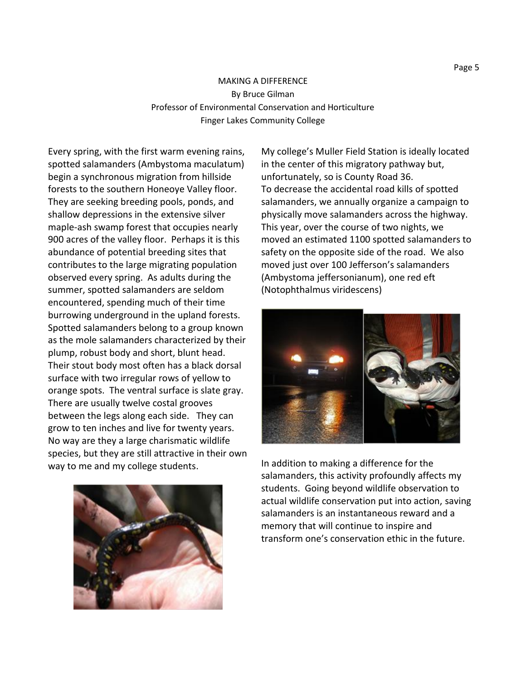### MAKING A DIFFERENCE By Bruce Gilman Professor of Environmental Conservation and Horticulture Finger Lakes Community College

Every spring, with the first warm evening rains, spotted salamanders (Ambystoma maculatum) begin a synchronous migration from hillside forests to the southern Honeoye Valley floor. They are seeking breeding pools, ponds, and shallow depressions in the extensive silver maple-ash swamp forest that occupies nearly 900 acres of the valley floor. Perhaps it is this abundance of potential breeding sites that contributes to the large migrating population observed every spring. As adults during the summer, spotted salamanders are seldom encountered, spending much of their time burrowing underground in the upland forests. Spotted salamanders belong to a group known as the mole salamanders characterized by their plump, robust body and short, blunt head. Their stout body most often has a black dorsal surface with two irregular rows of yellow to orange spots. The ventral surface is slate gray. There are usually twelve costal grooves between the legs along each side. They can grow to ten inches and live for twenty years. No way are they a large charismatic wildlife species, but they are still attractive in their own way to me and my college students.



My college's Muller Field Station is ideally located in the center of this migratory pathway but, unfortunately, so is County Road 36. To decrease the accidental road kills of spotted salamanders, we annually organize a campaign to physically move salamanders across the highway. This year, over the course of two nights, we moved an estimated 1100 spotted salamanders to safety on the opposite side of the road. We also moved just over 100 Jefferson's salamanders (Ambystoma jeffersonianum), one red eft (Notophthalmus viridescens)



In addition to making a difference for the salamanders, this activity profoundly affects my students. Going beyond wildlife observation to actual wildlife conservation put into action, saving salamanders is an instantaneous reward and a memory that will continue to inspire and transform one's conservation ethic in the future.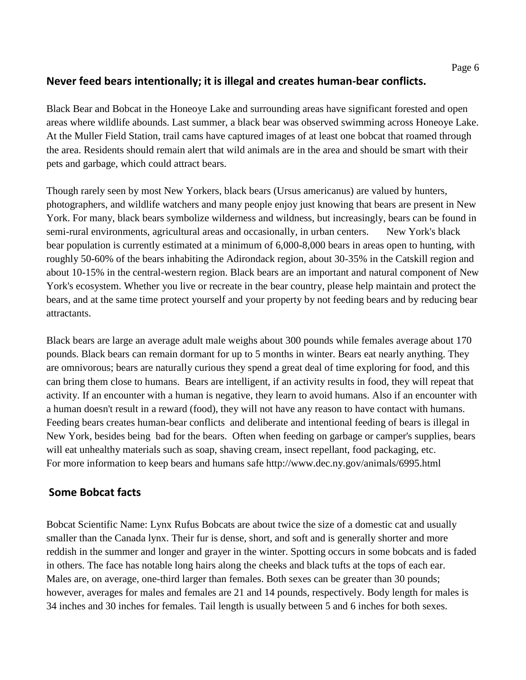## **Never feed bears intentionally; it is illegal and creates human-bear conflicts.**

Black Bear and Bobcat in the Honeoye Lake and surrounding areas have significant forested and open areas where wildlife abounds. Last summer, a black bear was observed swimming across Honeoye Lake. At the Muller Field Station, trail cams have captured images of at least one bobcat that roamed through the area. Residents should remain alert that wild animals are in the area and should be smart with their pets and garbage, which could attract bears.

Though rarely seen by most New Yorkers, black bears (Ursus americanus) are valued by hunters, photographers, and wildlife watchers and many people enjoy just knowing that bears are present in New York. For many, black bears symbolize wilderness and wildness, but increasingly, bears can be found in semi-rural environments, agricultural areas and occasionally, in urban centers. New York's black bear population is currently estimated at a minimum of 6,000-8,000 bears in areas open to hunting, with roughly 50-60% of the bears inhabiting the Adirondack region, about 30-35% in the Catskill region and about 10-15% in the central-western region. Black bears are an important and natural component of New York's ecosystem. Whether you live or recreate in the bear country, please help maintain and protect the bears, and at the same time protect yourself and your property by not feeding bears and by reducing bear attractants.

Black bears are large an average adult male weighs about 300 pounds while females average about 170 pounds. Black bears can remain dormant for up to 5 months in winter. Bears eat nearly anything. They are omnivorous; bears are naturally curious they spend a great deal of time exploring for food, and this can bring them close to humans. Bears are intelligent, if an activity results in food, they will repeat that activity. If an encounter with a human is negative, they learn to avoid humans. Also if an encounter with a human doesn't result in a reward (food), they will not have any reason to have contact with humans. Feeding bears creates human-bear conflicts and deliberate and intentional feeding of bears is illegal in New York, besides being bad for the bears. Often when feeding on garbage or camper's supplies, bears will eat unhealthy materials such as soap, shaving cream, insect repellant, food packaging, etc. For more information to keep bears and humans safe http://www.dec.ny.gov/animals/6995.html

### **Some Bobcat facts**

Bobcat Scientific Name: Lynx Rufus Bobcats are about twice the size of a domestic cat and usually smaller than the Canada lynx. Their fur is dense, short, and soft and is generally shorter and more reddish in the summer and longer and grayer in the winter. Spotting occurs in some bobcats and is faded in others. The face has notable long hairs along the cheeks and black tufts at the tops of each ear. Males are, on average, one-third larger than females. Both sexes can be greater than 30 pounds; however, averages for males and females are 21 and 14 pounds, respectively. Body length for males is 34 inches and 30 inches for females. Tail length is usually between 5 and 6 inches for both sexes.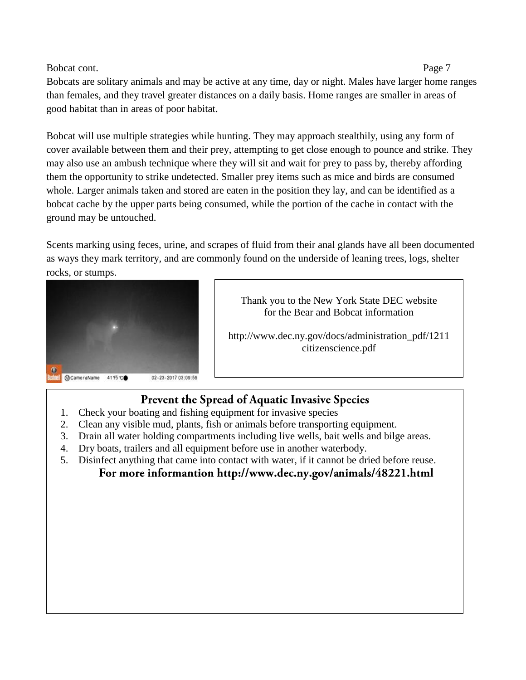#### Bobcat cont. Page 7

Bobcats are solitary animals and may be active at any time, day or night. Males have larger home ranges than females, and they travel greater distances on a daily basis. Home ranges are smaller in areas of good habitat than in areas of poor habitat.

Bobcat will use multiple strategies while hunting. They may approach stealthily, using any form of cover available between them and their prey, attempting to get close enough to pounce and strike. They may also use an ambush technique where they will sit and wait for prey to pass by, thereby affording them the opportunity to strike undetected. Smaller prey items such as mice and birds are consumed whole. Larger animals taken and stored are eaten in the position they lay, and can be identified as a bobcat cache by the upper parts being consumed, while the portion of the cache in contact with the ground may be untouched.

Scents marking using feces, urine, and scrapes of fluid from their anal glands have all been documented as ways they mark territory, and are commonly found on the underside of leaning trees, logs, shelter rocks, or stumps.



Thank you to the New York State DEC website for the Bear and Bobcat information

http://www.dec.ny.gov/docs/administration\_pdf/1211 citizenscience.pdf

# Prevent the Spread of Aquatic Invasive Species

- 1. Check your boating and fishing equipment for invasive species
- 2. Clean any visible mud, plants, fish or animals before transporting equipment.
- 3. Drain all water holding compartments including live wells, bait wells and bilge areas.
- 4. Dry boats, trailers and all equipment before use in another waterbody.
- 5. Disinfect anything that came into contact with water, if it cannot be dried before reuse.

# For more informantion http://www.dec.ny.gov/animals/48221.html